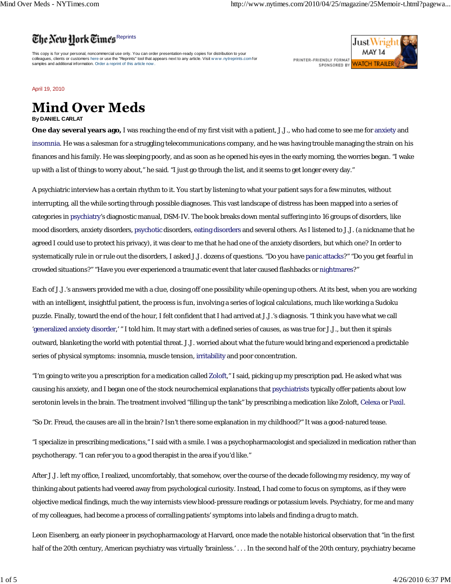## The New Hork Times Reprints

This copy is for your personal, noncommercial use only. You can order presentation-ready copies for distribution to your<br>colleagues, clients or customers here or use the "Reprints" tool that appears next to any article. Vi samples and additional information. Order a reprint of this article now

PRINTER-FRIENDLY FORMAT SPONSORED BY



April 19, 2010

## **Mind Over Meds**

**By DANIEL CARLAT**

**One day several years ago,** I was reaching the end of my first visit with a patient, J.J., who had come to see me for anxiety and insomnia. He was a salesman for a struggling telecommunications company, and he was having trouble managing the strain on his finances and his family. He was sleeping poorly, and as soon as he opened his eyes in the early morning, the worries began. "I wake up with a list of things to worry about," he said. "I just go through the list, and it seems to get longer every day."

A psychiatric interview has a certain rhythm to it. You start by listening to what your patient says for a few minutes, without interrupting, all the while sorting through possible diagnoses. This vast landscape of distress has been mapped into a series of categories in psychiatry's diagnostic manual, DSM-IV. The book breaks down mental suffering into 16 groups of disorders, like mood disorders, anxiety disorders, psychotic disorders, eating disorders and several others. As I listened to J.J. (a nickname that he agreed I could use to protect his privacy), it was clear to me that he had one of the anxiety disorders, but which one? In order to systematically rule in or rule out the disorders, I asked J.J. dozens of questions. "Do you have panic attacks?" "Do you get fearful in crowded situations?" "Have you ever experienced a traumatic event that later caused flashbacks or nightmares?"

Each of J.J.'s answers provided me with a clue, closing off one possibility while opening up others. At its best, when you are working with an intelligent, insightful patient, the process is fun, involving a series of logical calculations, much like working a Sudoku puzzle. Finally, toward the end of the hour, I felt confident that I had arrived at J.J.'s diagnosis. "I think you have what we call 'generalized anxiety disorder,' " I told him. It may start with a defined series of causes, as was true for J.J., but then it spirals outward, blanketing the world with potential threat. J.J. worried about what the future would bring and experienced a predictable series of physical symptoms: insomnia, muscle tension, irritability and poor concentration.

"I'm going to write you a prescription for a medication called Zoloft," I said, picking up my prescription pad. He asked *what* was causing his anxiety, and I began one of the stock neurochemical explanations that psychiatrists typically offer patients about low serotonin levels in the brain. The treatment involved "filling up the tank" by prescribing a medication like Zoloft, Celexa or Paxil.

"So Dr. Freud, the causes are all in the brain? Isn't there some explanation in my childhood?" It was a good-natured tease.

"I specialize in prescribing medications," I said with a smile. I was a psychopharmacologist and specialized in medication rather than psychotherapy. "I can refer you to a good therapist in the area if you'd like."

After J.J. left my office, I realized, uncomfortably, that somehow, over the course of the decade following my residency, my way of thinking about patients had veered away from psychological curiosity. Instead, I had come to focus on symptoms, as if they were objective medical findings, much the way internists view blood-pressure readings or potassium levels. Psychiatry, for me and many of my colleagues, had become a process of corralling patients' symptoms into labels and finding a drug to match.

Leon Eisenberg, an early pioneer in psychopharmacology at Harvard, once made the notable historical observation that "in the first half of the 20th century, American psychiatry was virtually 'brainless.' . . . In the second half of the 20th century, psychiatry became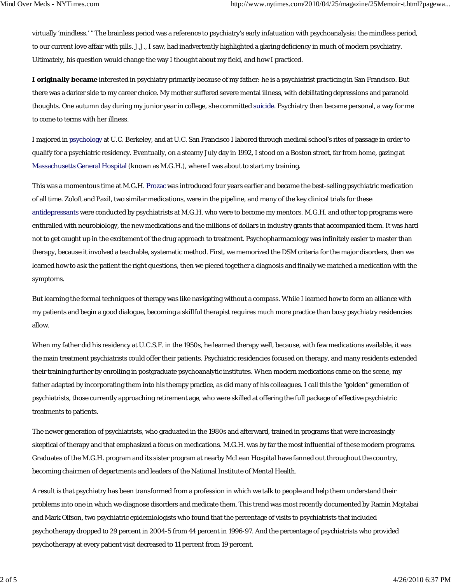virtually 'mindless.' " The brainless period was a reference to psychiatry's early infatuation with psychoanalysis; the mindless period, to our current love affair with pills. J.J., I saw, had inadvertently highlighted a glaring deficiency in much of modern psychiatry. Ultimately, his question would change the way I thought about my field, and how I practiced.

**I originally became** interested in psychiatry primarily because of my father: he is a psychiatrist practicing in San Francisco. But there was a darker side to my career choice. My mother suffered severe mental illness, with debilitating depressions and paranoid thoughts. One autumn day during my junior year in college, she committed suicide. Psychiatry then became personal, a way for me to come to terms with her illness.

I majored in psychology at U.C. Berkeley, and at U.C. San Francisco I labored through medical school's rites of passage in order to qualify for a psychiatric residency. Eventually, on a steamy July day in 1992, I stood on a Boston street, far from home, gazing at Massachusetts General Hospital (known as M.G.H.), where I was about to start my training.

This was a momentous time at M.G.H. Prozac was introduced four years earlier and became the best-selling psychiatric medication of all time. Zoloft and Paxil, two similar medications, were in the pipeline, and many of the key clinical trials for these antidepressants were conducted by psychiatrists at M.G.H. who were to become my mentors. M.G.H. and other top programs were enthralled with neurobiology, the new medications and the millions of dollars in industry grants that accompanied them. It was hard not to get caught up in the excitement of the drug approach to treatment. Psychopharmacology was infinitely easier to master than therapy, because it involved a teachable, systematic method. First, we memorized the DSM criteria for the major disorders, then we learned how to ask the patient the right questions, then we pieced together a diagnosis and finally we matched a medication with the symptoms.

But learning the formal techniques of therapy was like navigating without a compass. While I learned how to form an alliance with my patients and begin a good dialogue, becoming a skillful therapist requires much more practice than busy psychiatry residencies allow.

When my father did his residency at U.C.S.F. in the 1950s, he learned therapy well, because, with few medications available, it was the main treatment psychiatrists could offer their patients. Psychiatric residencies focused on therapy, and many residents extended their training further by enrolling in postgraduate psychoanalytic institutes. When modern medications came on the scene, my father adapted by incorporating them into his therapy practice, as did many of his colleagues. I call this the "golden" generation of psychiatrists, those currently approaching retirement age, who were skilled at offering the full package of effective psychiatric treatments to patients.

The newer generation of psychiatrists, who graduated in the 1980s and afterward, trained in programs that were increasingly skeptical of therapy and that emphasized a focus on medications. M.G.H. was by far the most influential of these modern programs. Graduates of the M.G.H. program and its sister program at nearby McLean Hospital have fanned out throughout the country, becoming chairmen of departments and leaders of the National Institute of Mental Health.

A result is that psychiatry has been transformed from a profession in which we talk to people and help them understand their problems into one in which we diagnose disorders and medicate them. This trend was most recently documented by Ramin Mojtabai and Mark Olfson, two psychiatric epidemiologists who found that the percentage of visits to psychiatrists that included psychotherapy dropped to 29 percent in 2004-5 from 44 percent in 1996-97. And the percentage of psychiatrists who provided psychotherapy at every patient visit decreased to 11 percent from 19 percent.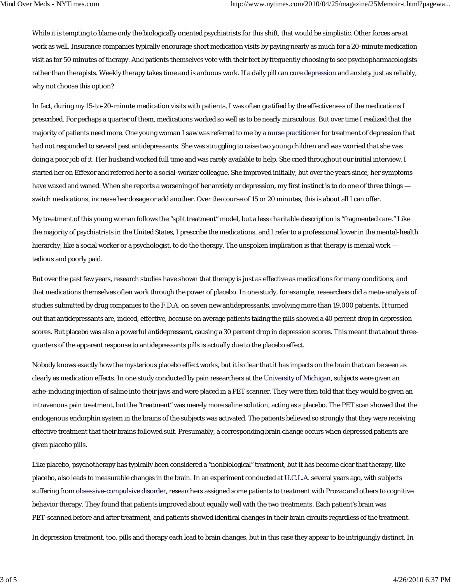While it is tempting to blame only the biologically oriented psychiatrists for this shift, that would be simplistic. Other forces are at work as well. Insurance companies typically encourage short medication visits by paying nearly as much for a 20-minute medication visit as for 50 minutes of therapy. And patients themselves vote with their feet by frequently choosing to see psychopharmacologists rather than therapists. Weekly therapy takes time and is arduous work. If a daily pill can cure depression and anxiety just as reliably, why not choose this option?

In fact, during my 15-to-20-minute medication visits with patients, I was often gratified by the effectiveness of the medications I prescribed. For perhaps a quarter of them, medications worked so well as to be nearly miraculous. But over time I realized that the majority of patients need more. One young woman I saw was referred to me by a nurse practitioner for treatment of depression that had not responded to several past antidepressants. She was struggling to raise two young children and was worried that she was doing a poor job of it. Her husband worked full time and was rarely available to help. She cried throughout our initial interview. I started her on Effexor and referred her to a social-worker colleague. She improved initially, but over the years since, her symptoms have waxed and waned. When she reports a worsening of her anxiety or depression, my first instinct is to do one of three things switch medications, increase her dosage or add another. Over the course of 15 or 20 minutes, this is about all I can offer.

My treatment of this young woman follows the "split treatment" model, but a less charitable description is "fragmented care." Like the majority of psychiatrists in the United States, I prescribe the medications, and I refer to a professional lower in the mental-health hierarchy, like a social worker or a psychologist, to do the therapy. The unspoken implication is that therapy is menial work tedious and poorly paid.

But over the past few years, research studies have shown that therapy is just as effective as medications for many conditions, and that medications themselves often work through the power of placebo. In one study, for example, researchers did a meta-analysis of studies submitted by drug companies to the F.D.A. on seven new antidepressants, involving more than 19,000 patients. It turned out that antidepressants are, indeed, effective, because on average patients taking the pills showed a 40 percent drop in depression scores. But placebo was also a powerful antidepressant, causing a 30 percent drop in depression scores. This meant that about threequarters of the apparent response to antidepressants pills is actually due to the placebo effect.

Nobody knows exactly how the mysterious placebo effect works, but it is clear that it has impacts on the brain that can be seen as clearly as medication effects. In one study conducted by pain researchers at the University of Michigan, subjects were given an ache-inducing injection of saline into their jaws and were placed in a PET scanner. They were then told that they would be given an intravenous pain treatment, but the "treatment" was merely more saline solution, acting as a placebo. The PET scan showed that the endogenous endorphin system in the brains of the subjects was activated. The patients believed so strongly that they were receiving effective treatment that their brains followed suit. Presumably, a corresponding brain change occurs when depressed patients are given placebo pills.

Like placebo, psychotherapy has typically been considered a "nonbiological" treatment, but it has become clear that therapy, like placebo, also leads to measurable changes in the brain. In an experiment conducted at U.C.L.A. several years ago, with subjects suffering from obsessive-compulsive disorder, researchers assigned some patients to treatment with Prozac and others to cognitive behavior therapy. They found that patients improved about equally well with the two treatments. Each patient's brain was PET-scanned before and after treatment, and patients showed identical changes in their brain circuits regardless of the treatment.

In depression treatment, too, pills and therapy each lead to brain changes, but in this case they appear to be intriguingly distinct. In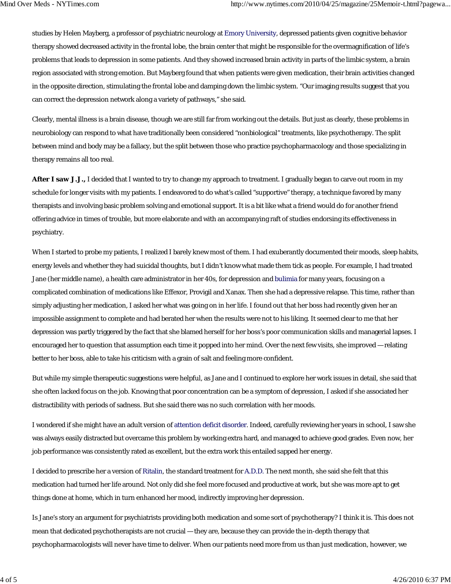studies by Helen Mayberg, a professor of psychiatric neurology at Emory University, depressed patients given cognitive behavior therapy showed decreased activity in the frontal lobe, the brain center that might be responsible for the overmagnification of life's problems that leads to depression in some patients. And they showed increased brain activity in parts of the limbic system, a brain region associated with strong emotion. But Mayberg found that when patients were given medication, their brain activities changed in the opposite direction, stimulating the frontal lobe and damping down the limbic system. "Our imaging results suggest that you can correct the depression network along a variety of pathways," she said.

Clearly, mental illness is a brain disease, though we are still far from working out the details. But just as clearly, these problems in neurobiology can respond to what have traditionally been considered "nonbiological" treatments, like psychotherapy. The split between mind and body may be a fallacy, but the split between those who practice psychopharmacology and those specializing in therapy remains all too real.

After I saw J.J., I decided that I wanted to try to change my approach to treatment. I gradually began to carve out room in my schedule for longer visits with my patients. I endeavored to do what's called "supportive" therapy, a technique favored by many therapists and involving basic problem solving and emotional support. It is a bit like what a friend would do for another friend offering advice in times of trouble, but more elaborate and with an accompanying raft of studies endorsing its effectiveness in psychiatry.

When I started to probe my patients, I realized I barely knew most of them. I had exuberantly documented their moods, sleep habits, energy levels and whether they had suicidal thoughts, but I didn't know what made them tick as people. For example, I had treated Jane (her middle name), a health care administrator in her 40s, for depression and bulimia for many years, focusing on a complicated combination of medications like Effexor, Provigil and Xanax. Then she had a depressive relapse. This time, rather than simply adjusting her medication, I asked her what was going on in her life. I found out that her boss had recently given her an impossible assignment to complete and had berated her when the results were not to his liking. It seemed clear to me that her depression was partly triggered by the fact that she blamed herself for her boss's poor communication skills and managerial lapses. I encouraged her to question that assumption each time it popped into her mind. Over the next few visits, she improved — relating better to her boss, able to take his criticism with a grain of salt and feeling more confident.

But while my simple therapeutic suggestions were helpful, as Jane and I continued to explore her work issues in detail, she said that she often lacked focus on the job. Knowing that poor concentration can be a symptom of depression, I asked if she associated her distractibility with periods of sadness. But she said there was no such correlation with her moods.

I wondered if she might have an adult version of attention deficit disorder. Indeed, carefully reviewing her years in school, I saw she was always easily distracted but overcame this problem by working extra hard, and managed to achieve good grades. Even now, her job performance was consistently rated as excellent, but the extra work this entailed sapped her energy.

I decided to prescribe her a version of Ritalin, the standard treatment for A.D.D. The next month, she said she felt that this medication had turned her life around. Not only did she feel more focused and productive at work, but she was more apt to get things done at home, which in turn enhanced her mood, indirectly improving her depression.

Is Jane's story an argument for psychiatrists providing both medication and some sort of psychotherapy? I think it is. This does not mean that dedicated psychotherapists are not crucial — they are, because they can provide the in-depth therapy that psychopharmacologists will never have time to deliver. When our patients need more from us than just medication, however, we